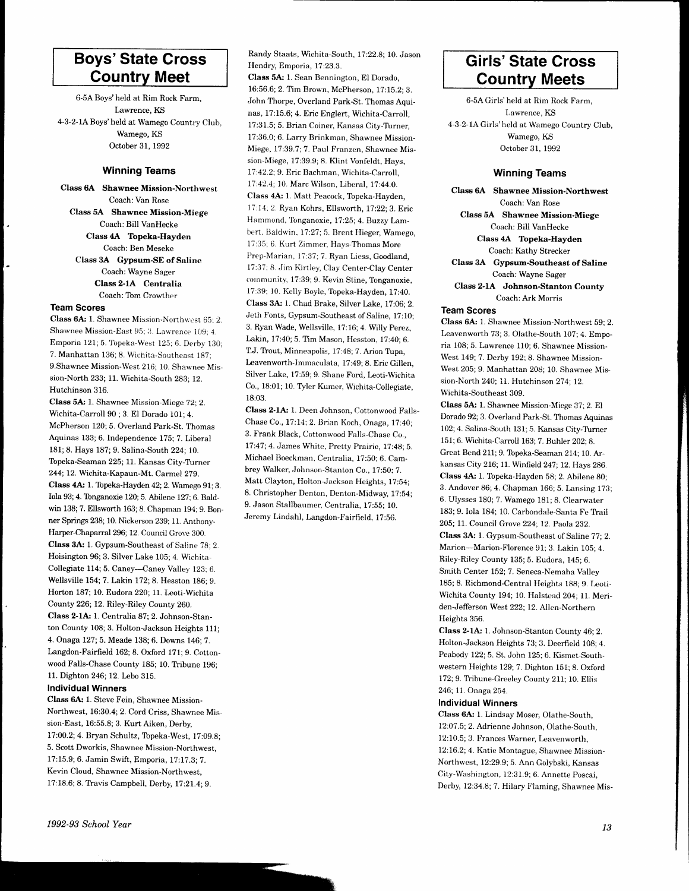# Boys'State Cross Countrv Meet

6-5.4' Boys'held at Rim Rock Farm, Lawrence, KS 4-3-2-lABoys'held at Wamego Country Club, Wamego, KS October 31, 1992

#### Winning Teams

Class 6A' Shawnee Mission-Northwest Coach: Van Rose Class 5A Shawnee Mission-Miege Coach: Bill VanHecke Class 4A Topeka-Hayden Coach: Ben Meseke Class 3A Gypsum-SE of Saline Coach: Wayne Sager Class 2.lA Centralia Coach: Tom Crowther

#### Team Scores

Class 6A: 1. Shawnee Mission-Northwest 65: 2. Shawnee Mission-East 95; 3. Lawrence 109; 4. Emporia 121; 5. Topeka-West 125; 6. Derby 130; 7. Manhattan 136; 8. Wichita-Southeast 187; 9.Shawnee Mission-West 216; 10. Shawnee Mission-North 233; 11. Wichita-South 283; 12. Hutchinson 316.

Class 5A: 1. Shawnee Mission-Miege 72; 2. Wichita-Carroll 90 ; 3. El Dorado 101; 4. McPherson I20; 5. Overland Park-St. Thomas Aquinas 133; 6. Independence 175;7. Liberal 181; 8. Hays 187; 9. Salina-South 224; 70. Topeka-Seaman 225; 11. Kansas City-Turner 244; 12. Wichita-Kapaun-Mt. Carmel 279. Class 4A: 1. Topeka-Hayden 42; 2. Wamego 91; 3. Iola 93;4. Tbnganoxie 120;5. Abilene 127;6. Baldwin 138; 7. Ellsworth 163; 8. Chapman 194; 9. Bonner Springs 238; 10. Nickerson 239; 11. Anthony-Harper-Chaparral 296; 12. Council Grove 300. Class 3A: 1. Gypsum-Southeast of Saline 78; 2. Hoisington 96; 3. Silver Lake 105; 4. Wichita-Collegiate 114; 5. Caney-Caney Valley 123: 6. Wellsville 154;7 . Lakin 172; 8. Hesston 186; 9. Horton 187; 10. Eudora 220; ll. Leoti-Wichita County 226;12. Riley-Riley County 260. Class 2-1A: 1. Centralia 87: 2. Johnson-Stanton County 108; 3. Holton-Jackson Heights 111; 4. Onaga 127;5. Meade 138; 6. Downs 146; 7 Langdon-Fairfield 162; 8. Oxford 171; 9. Cottonwood Falls-Chase County 185; 10. Tribune 196; 11. Dighton 246;12. Lebo 315.

### Individual Winners

Class 6A: 1. Steve Fein, Shawnee Mission-Northwest, 16:30.4; 2. Cord Criss, Shawnee Mission-East, 16:55.8; 3. Kurt Aiken, Derby, 17:00.2; 4. Bryan Schultz, Topeka-West, 17:09.8; 5. Scott Dworkis, Shawnee Mission-Northwest, 17:15.9; 6. Jamin Swift, Emporia, 17:17.3; 7. Kevin Cloud, Shawnee Mission-Northwest, 17:18.6; 8. Travis Campbell, Derby, 17:21.4; 9.

Randy Staats, Wichita-South, 17:22.8; 10. Jason Hendry, Emporia, 17:23.3.

Class 5A: 1. Sean Bennington, El Dorado, 16:56.6; 2. Tim Brown, McPherson, 17:15.2; 3. John Thorpe, Overland Park-St. Thomas Aquinas, 17:15.6; 4. Eric Englert, Wichita-Carroll, 17:31.5; 5. Brian Coiner, Kansas City-Tlrner, 17:36.0; 6. Larry Brinkman, Shawnee Mission-Miege, 17:39.7; 7. Paul Franzen, Shawnee Mission-Miege, 17:39.9; 8. Klint Vonfeldt, Hays, 17 :42.2; 9. Eric Bachman, Wichita-Carroll. 17:42.4;10. Marc Wilson, Liberal, 17:44.0. Class 4A: L Matt Peacock, Topeka-Hayden, 17:14; 2. Ryan Kohrs, Ellsworth, 17:22; 3. Eric Hammond, Tonganoxie, 17:25; 4. Buzzy Lambert, Baldwin, 17:27; 5. Brent Hieger, Wamego, l7:35: 6. Kurt Zimmer, Hays-Thomas More Prep-Marian, 17:37; 7. Ryan Liess, Goodland, 17:37: 8. Jim Kirtley, Clay Center-Clay Center community, 17:39; 9. Kevin Stine, Tonganoxie, l7:39; 10. Kelly Boyle, Topeka-Hayden, 17:40. Class 3A: 1. Chad Brake, Silver Lake, 17:06; 2. Jeth Fonts, Gypsum-Southeast of Saline, 17:10; 3. Ryan Wade, Wellsville, 17:16; 4. Willy Perez, Lakin, 17:40; 5. Tim Mason, Hesston, 17:40; 6. T.J. Trout, Minneapolis, 17:48; 7. Arion Tupa, Leavenworth-Immaculata, 17:49; 8. Eric Gillen, Silver Lake, 17:59; 9. Shane Ford, Leoti-Wichjta Co., 18:01; 10. TVler Kumer. Wichita-Collegiate, 18:03.

Class 2-1A: 1. Deen Johnson, Cottonwood Falls-Chase Co., 17:14; 2. Brian Koch, Onaga, 17:40; 3. Frank Black, Cottonwood Falls-Chase Co., 17:47;4. James White, Pretty Prairie, 17:48; 5. Michael Boeckman, Centralia, 17:50; 6. Cambrey Walker, Johnsor,-Stanton Co., 17.50:7 . Matt Clayton, Hoiton-Jackson Heights, 17:54; 8. Christopher Denton, Denton-Midway, 17:54; 9. Jason Stallbaumer, Centralia. 17:5S: 10. Jeremy Lindahl, Langdon-Fairfield. 17:56.

## Girls'State Cross Countrv Meets

6-5A Girls' held at Rim Rock Farm, Lawrence, KS 4-3-2-IAGirls'held at Wamego Country Club, Wamego, KS October 31, 1992

#### Winning Teams

Class 6A Shawnee Mission-Northwest Coach: Van Rose Class 5A Shawnee Mission-Miege Coach: Bill VanHecke Class 4A Topeka-Hayden Coach: Kathy Strecker Class 3A Gypsum-Southeast of Saline Coach: Wayne Sager Class 2-1A Johnson-Stanton County Coach: Ark Morris

#### Team Scores

Class 6A: 1. Shawnee Mission-Northwest 59; 2. Leavenworth 73; 3. Olathe-South 107; 4. Emporia 108; 5. Lawrence 110; 6. Shawnee Mission-West 149; 7. Derby 192; 8. Shawnee Mission-West 205; 9. Manhattan 208; 10. Shawnee Mission-North 240; 11. Hutchinson 274; 12. Wichita-Southeast 309.

Class 5A': 1. Shawnee Mission-Miege 3?; 2. El Dorado 92; 3. Overland Park-St. Thomas Aquinas 102; 4. Salina-South 131; 5. Kansas City-Turner 151; 6. Wichita-Carroll 163; 7. Buhler 202; 8. Great Bend 211; 9. Tbpeka-Seaman 214; 10. Arkansas City 216; 11. Winfield 247; 12. Hays 286. Class 4A: 1. Topeka-Hayden 58; 2. Abilene 80; 3. Andover 86;4. Chapman 166;5. Lansing 173; 6. Ulysses 180; 7. Wamego 181; 8. Clearwater 183; 9. Iola 184; 10. Carbondale-Santa Fe Trail 205; 11. Council Grove 224; 12. Paola 232. Class 3A: 1. Gypsum-Southeast of Saline 77; 2. Marion-Marion-Florence 91; 3. Lakin 105; 4. Riley-Riley County 135; 5. Eudora, L45;6. Smith Center 152; 7. Seneca-Nemaha Valley 185; 8. Richmond-Central Heights 188; 9. Leoti-Wichita County 194; 10. Halstead 204; 11. Meriden-Jefferson West 222; 12. Allen-Northern Heights 356.

Class 2-lA,: 1. Johnson-Stanton County 46; 2. Holton-Jackson Heights 73; 3. Deerheld 108; 4. Peabody 122;5. St. John 125; 6. Kismet-Southwestern Heights 129;7 . Dighton 151; 8. Oxford 172;9. TFibune-Greeley County 211; 10. Ellis 246; 11. Onaga 254.

#### Individual Winners

Class 6A: 1. Lindsay Moser, Olathe-South, 12:07 .5; 2. Adrienne Johnson, Olathe-South, 12:10.5; 3. Frances Warner, Leavenworth, 12:16.2; 4. Katie Montague, Shawnee Mission-Northwest, 12:29.9;5. Ann Golybski, Kansas City-Washington, i2:31.9; 6. Annette Poscai, Derby, 12:34.8; 7. Hilary Flaming, Shawnee Mis-